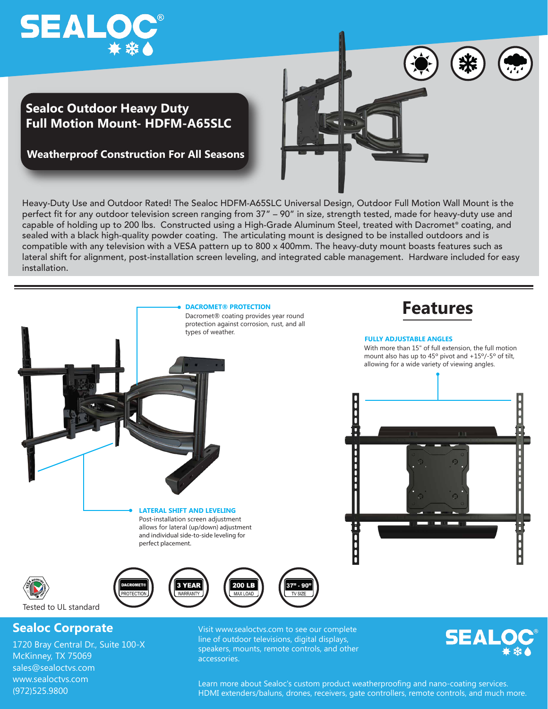## **SEALOC®**

(972)525.9800

## **Sealoc Outdoor Heavy Duty Full Motion Mount- HDFM-A65SLC**

**Weatherproof Construction For All Seasons**

Heavy-Duty Use and Outdoor Rated! The Sealoc HDFM-A65SLC Universal Design, Outdoor Full Motion Wall Mount is the perfect fit for any outdoor television screen ranging from 37" – 90" in size, strength tested, made for heavy-duty use and capable of holding up to 200 lbs. Constructed using a High-Grade Aluminum Steel, treated with Dacromet® coating, and sealed with a black high-quality powder coating. The articulating mount is designed to be installed outdoors and is compatible with any television with a VESA pattern up to 800 x 400mm. The heavy-duty mount boasts features such as lateral shift for alignment, post-installation screen leveling, and integrated cable management. Hardware included for easy installation.



Learn more about Sealoc's custom product weatherproofing and nano-coating services. HDMI extenders/baluns, drones, receivers, gate controllers, remote controls, and much more.